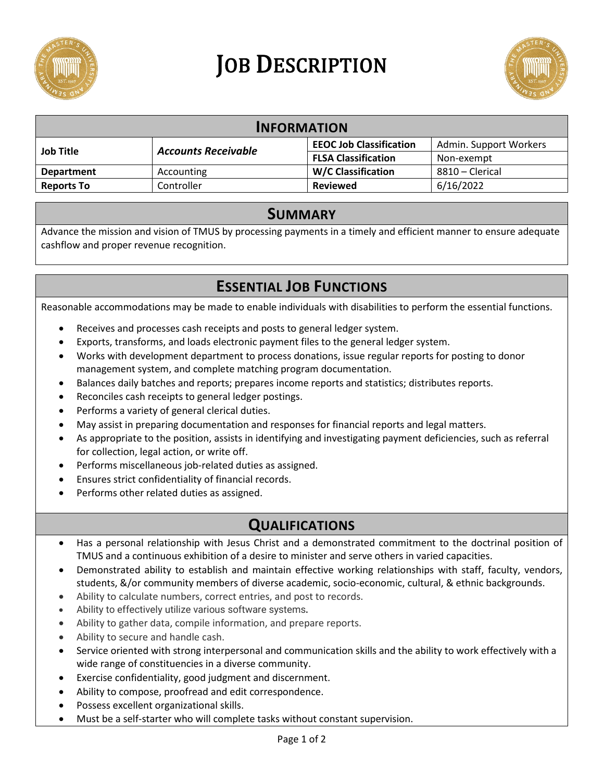

# **JOB DESCRIPTION**



| <b>INFORMATION</b> |                            |                                |                        |
|--------------------|----------------------------|--------------------------------|------------------------|
| <b>Job Title</b>   | <b>Accounts Receivable</b> | <b>EEOC Job Classification</b> | Admin. Support Workers |
|                    |                            | <b>FLSA Classification</b>     | Non-exempt             |
| <b>Department</b>  | Accounting                 | <b>W/C Classification</b>      | 8810 – Clerical        |
| <b>Reports To</b>  | Controller                 | <b>Reviewed</b>                | 6/16/2022              |

#### **SUMMARY**

Advance the mission and vision of TMUS by processing payments in a timely and efficient manner to ensure adequate cashflow and proper revenue recognition.

# **ESSENTIAL JOB FUNCTIONS**

Reasonable accommodations may be made to enable individuals with disabilities to perform the essential functions.

- Receives and processes cash receipts and posts to general ledger system.
- Exports, transforms, and loads electronic payment files to the general ledger system.
- Works with development department to process donations, issue regular reports for posting to donor management system, and complete matching program documentation.
- Balances daily batches and reports; prepares income reports and statistics; distributes reports.
- Reconciles cash receipts to general ledger postings.
- Performs a variety of general clerical duties.
- May assist in preparing documentation and responses for financial reports and legal matters.
- As appropriate to the position, assists in identifying and investigating payment deficiencies, such as referral for collection, legal action, or write off.
- Performs miscellaneous job-related duties as assigned.
- Ensures strict confidentiality of financial records.
- Performs other related duties as assigned.

# **QUALIFICATIONS**

- Has a personal relationship with Jesus Christ and a demonstrated commitment to the doctrinal position of TMUS and a continuous exhibition of a desire to minister and serve others in varied capacities.
- Demonstrated ability to establish and maintain effective working relationships with staff, faculty, vendors, students, &/or community members of diverse academic, socio-economic, cultural, & ethnic backgrounds.
- Ability to calculate numbers, correct entries, and post to records.
- Ability to effectively utilize various software systems*.*
- Ability to gather data, compile information, and prepare reports.
- Ability to secure and handle cash.
- Service oriented with strong interpersonal and communication skills and the ability to work effectively with a wide range of constituencies in a diverse community.
- Exercise confidentiality, good judgment and discernment.
- Ability to compose, proofread and edit correspondence.
- Possess excellent organizational skills.
- Must be a self-starter who will complete tasks without constant supervision.